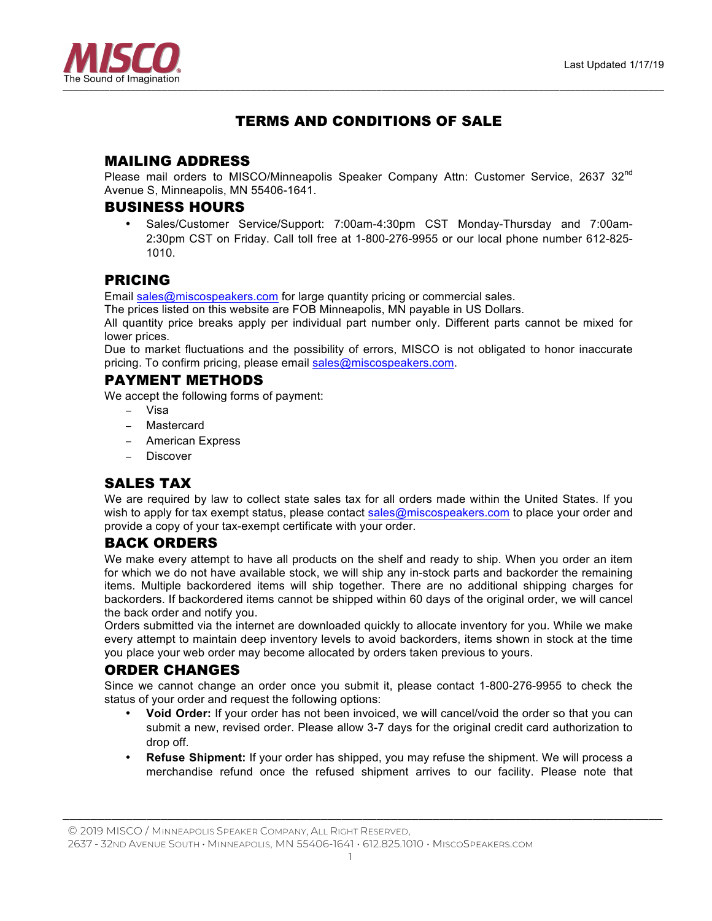

# TERMS AND CONDITIONS OF SALE

# MAILING ADDRESS

Please mail orders to MISCO/Minneapolis Speaker Company Attn: Customer Service, 2637  $32^{\text{nd}}$ Avenue S, Minneapolis, MN 55406-1641.

### BUSINESS HOURS

• Sales/Customer Service/Support: 7:00am-4:30pm CST Monday-Thursday and 7:00am-2:30pm CST on Friday. Call toll free at 1-800-276-9955 or our local phone number 612-825- 1010.

# PRICING

Email sales@miscospeakers.com for large quantity pricing or commercial sales.

The prices listed on this website are FOB Minneapolis, MN payable in US Dollars.

All quantity price breaks apply per individual part number only. Different parts cannot be mixed for lower prices.

Due to market fluctuations and the possibility of errors, MISCO is not obligated to honor inaccurate pricing. To confirm pricing, please email sales@miscospeakers.com.

#### PAYMENT METHODS

We accept the following forms of payment:

- − Visa
- − Mastercard
- − American Express
- − Discover

# SALES TAX

We are required by law to collect state sales tax for all orders made within the United States. If you wish to apply for tax exempt status, please contact sales@miscospeakers.com to place your order and provide a copy of your tax-exempt certificate with your order.

# BACK ORDERS

We make every attempt to have all products on the shelf and ready to ship. When you order an item for which we do not have available stock, we will ship any in-stock parts and backorder the remaining items. Multiple backordered items will ship together. There are no additional shipping charges for backorders. If backordered items cannot be shipped within 60 days of the original order, we will cancel the back order and notify you.

Orders submitted via the internet are downloaded quickly to allocate inventory for you. While we make every attempt to maintain deep inventory levels to avoid backorders, items shown in stock at the time you place your web order may become allocated by orders taken previous to yours.

# ORDER CHANGES

Since we cannot change an order once you submit it, please contact 1-800-276-9955 to check the status of your order and request the following options:

- **Void Order:** If your order has not been invoiced, we will cancel/void the order so that you can submit a new, revised order. Please allow 3-7 days for the original credit card authorization to drop off.
- **Refuse Shipment:** If your order has shipped, you may refuse the shipment. We will process a merchandise refund once the refused shipment arrives to our facility. Please note that

© 2019 MISCO / MINNEAPOLIS SPEAKER COMPANY, ALL RIGHT RESERVED,

2637 - 32ND AVENUE SOUTH • MINNEAPOLIS, MN 55406-1641 • 612.825.1010 • MISCOSPEAKERS.COM

*\_\_\_\_\_\_\_\_\_\_\_\_\_\_\_\_\_\_\_\_\_\_\_\_\_\_\_\_\_\_\_\_\_\_\_\_\_\_\_\_\_\_\_\_\_\_\_\_\_\_\_\_\_\_\_\_\_\_\_\_\_\_\_\_\_\_\_\_\_\_\_\_\_\_\_\_\_\_\_\_\_\_\_\_\_\_*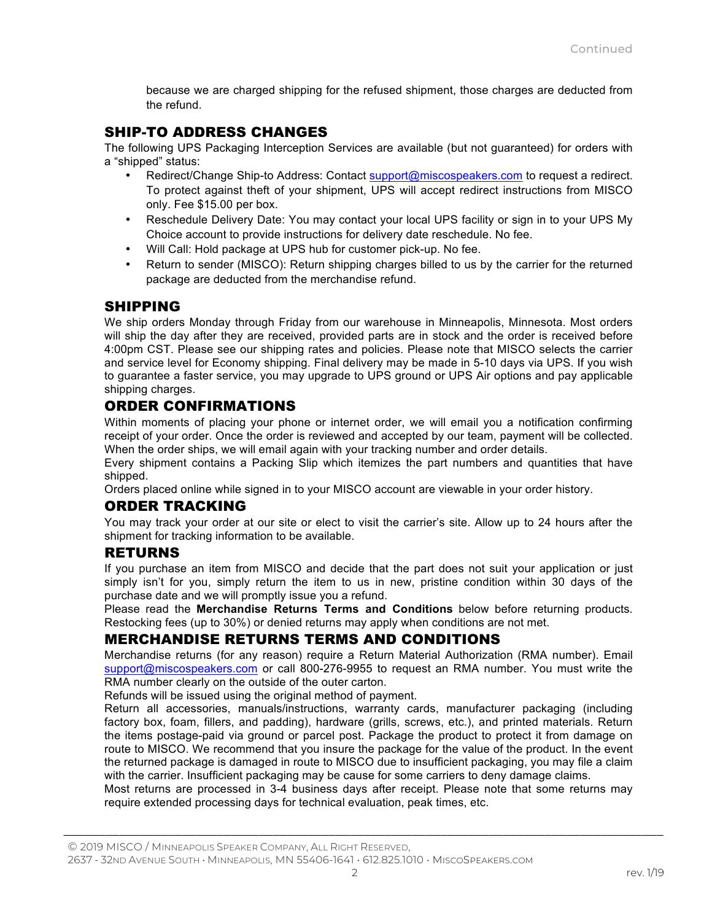because we are charged shipping for the refused shipment, those charges are deducted from the refund.

# SHIP-TO ADDRESS CHANGES

The following UPS Packaging Interception Services are available (but not guaranteed) for orders with a "shipped" status:

- Redirect/Change Ship-to Address: Contact support@miscospeakers.com to request a redirect. To protect against theft of your shipment, UPS will accept redirect instructions from MISCO only. Fee \$15.00 per box.
- Reschedule Delivery Date: You may contact your local UPS facility or sign in to your UPS My Choice account to provide instructions for delivery date reschedule. No fee.
- Will Call: Hold package at UPS hub for customer pick-up. No fee.
- Return to sender (MISCO): Return shipping charges billed to us by the carrier for the returned package are deducted from the merchandise refund.

### SHIPPING

We ship orders Monday through Friday from our warehouse in Minneapolis, Minnesota. Most orders will ship the day after they are received, provided parts are in stock and the order is received before 4:00pm CST. Please see our shipping rates and policies. Please note that MISCO selects the carrier and service level for Economy shipping. Final delivery may be made in 5-10 days via UPS. If you wish to guarantee a faster service, you may upgrade to UPS ground or UPS Air options and pay applicable shipping charges.

# ORDER CONFIRMATIONS

Within moments of placing your phone or internet order, we will email you a notification confirming receipt of your order. Once the order is reviewed and accepted by our team, payment will be collected. When the order ships, we will email again with your tracking number and order details.

Every shipment contains a Packing Slip which itemizes the part numbers and quantities that have shipped.

Orders placed online while signed in to your MISCO account are viewable in your order history.

# ORDER TRACKING

You may track your order at our site or elect to visit the carrier's site. Allow up to 24 hours after the shipment for tracking information to be available.

#### RETURNS

If you purchase an item from MISCO and decide that the part does not suit your application or just simply isn't for you, simply return the item to us in new, pristine condition within 30 days of the purchase date and we will promptly issue you a refund.

Please read the **Merchandise Returns Terms and Conditions** below before returning products. Restocking fees (up to 30%) or denied returns may apply when conditions are not met.

# MERCHANDISE RETURNS TERMS AND CONDITIONS

Merchandise returns (for any reason) require a Return Material Authorization (RMA number). Email support@miscospeakers.com or call 800-276-9955 to request an RMA number. You must write the RMA number clearly on the outside of the outer carton.

Refunds will be issued using the original method of payment.

Return all accessories, manuals/instructions, warranty cards, manufacturer packaging (including factory box, foam, fillers, and padding), hardware (grills, screws, etc.), and printed materials. Return the items postage-paid via ground or parcel post. Package the product to protect it from damage on route to MISCO. We recommend that you insure the package for the value of the product. In the event the returned package is damaged in route to MISCO due to insufficient packaging, you may file a claim with the carrier. Insufficient packaging may be cause for some carriers to deny damage claims.

Most returns are processed in 3-4 business days after receipt. Please note that some returns may require extended processing days for technical evaluation, peak times, etc.

*\_\_\_\_\_\_\_\_\_\_\_\_\_\_\_\_\_\_\_\_\_\_\_\_\_\_\_\_\_\_\_\_\_\_\_\_\_\_\_\_\_\_\_\_\_\_\_\_\_\_\_\_\_\_\_\_\_\_\_\_\_\_\_\_\_\_\_\_\_\_\_\_\_\_\_\_\_\_\_\_\_\_\_\_\_\_*